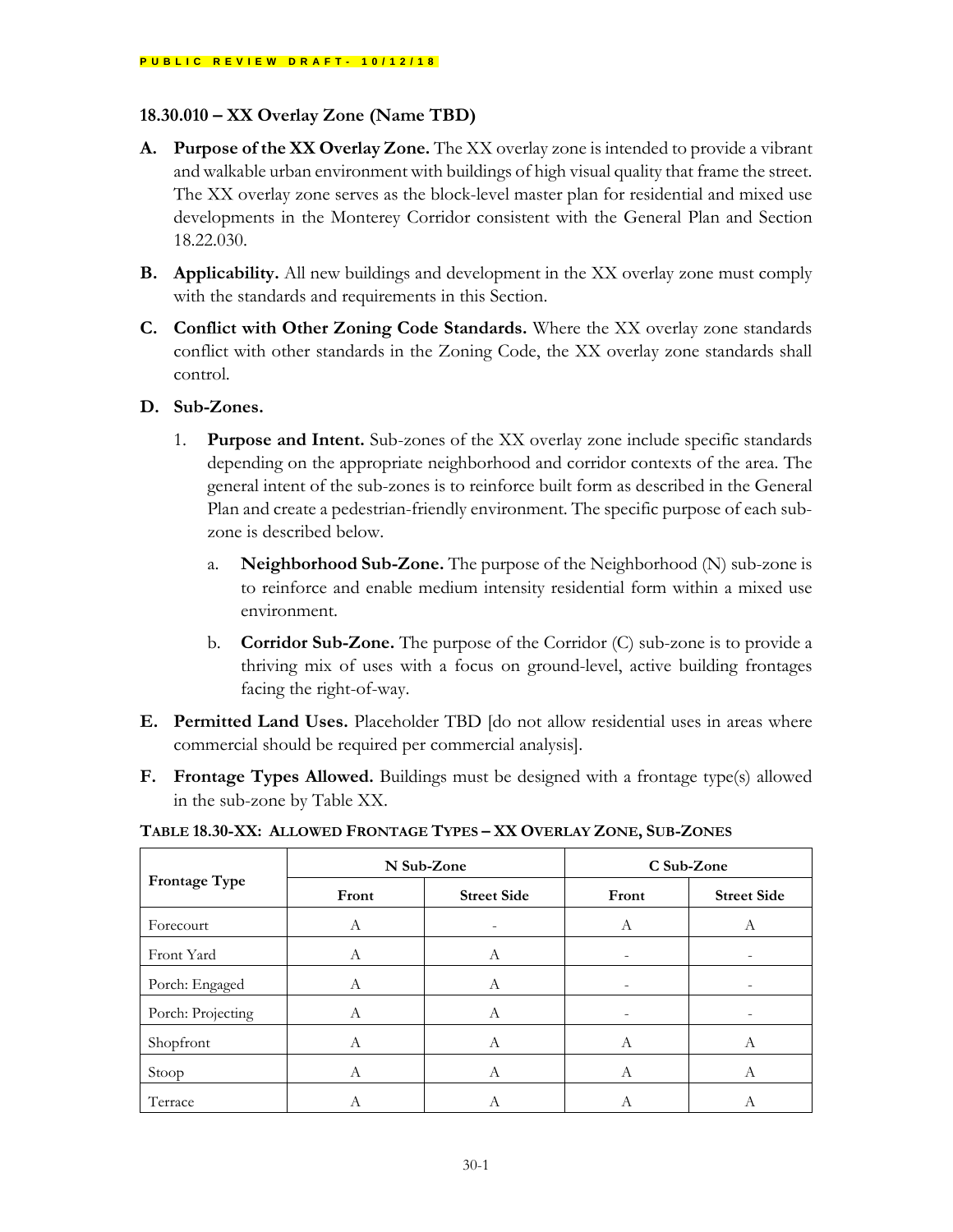# **18.30.010 – XX Overlay Zone (Name TBD)**

- **A. Purpose of the XX Overlay Zone.** The XX overlay zone is intended to provide a vibrant and walkable urban environment with buildings of high visual quality that frame the street. The XX overlay zone serves as the block-level master plan for residential and mixed use developments in the Monterey Corridor consistent with the General Plan and Section 18.22.030.
- **B. Applicability.** All new buildings and development in the XX overlay zone must comply with the standards and requirements in this Section.
- **C. Conflict with Other Zoning Code Standards.** Where the XX overlay zone standards conflict with other standards in the Zoning Code, the XX overlay zone standards shall control.
- **D. Sub-Zones.**
	- 1. **Purpose and Intent.** Sub-zones of the XX overlay zone include specific standards depending on the appropriate neighborhood and corridor contexts of the area. The general intent of the sub-zones is to reinforce built form as described in the General Plan and create a pedestrian-friendly environment. The specific purpose of each subzone is described below.
		- a. **Neighborhood Sub-Zone.** The purpose of the Neighborhood (N) sub-zone is to reinforce and enable medium intensity residential form within a mixed use environment.
		- b. **Corridor Sub-Zone.** The purpose of the Corridor (C) sub-zone is to provide a thriving mix of uses with a focus on ground-level, active building frontages facing the right-of-way.
- **E. Permitted Land Uses.** Placeholder TBD [do not allow residential uses in areas where commercial should be required per commercial analysis].
- **F. Frontage Types Allowed.** Buildings must be designed with a frontage type(s) allowed in the sub-zone by Table XX.

**TABLE 18.30-XX: ALLOWED FRONTAGE TYPES – XX OVERLAY ZONE, SUB-ZONES**

|                      | N Sub-Zone |                    | C Sub-Zone |                    |
|----------------------|------------|--------------------|------------|--------------------|
| <b>Frontage Type</b> | Front      | <b>Street Side</b> | Front      | <b>Street Side</b> |
| Forecourt            | А          | -                  | А          | A                  |
| Front Yard           | A          | A                  | -          |                    |
| Porch: Engaged       | A          | А                  |            |                    |
| Porch: Projecting    | A          | A                  |            |                    |
| Shopfront            | А          | A                  | А          | $\mathcal{A}$      |
| Stoop                | A          | $\overline{A}$     | A          | A                  |
| Terrace              | А          | А                  | А          | A                  |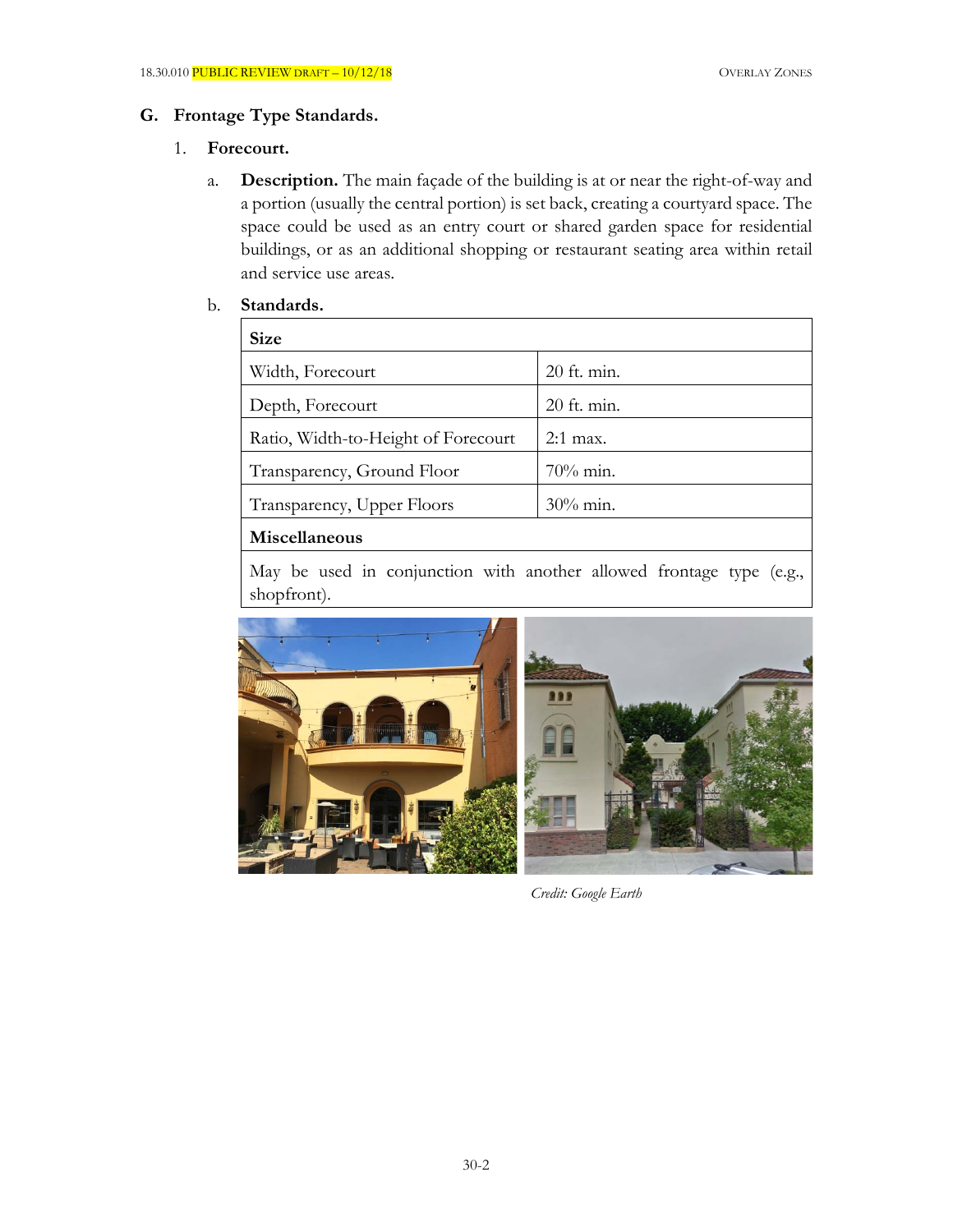# **G. Frontage Type Standards.**

#### 1. **Forecourt.**

a. **Description.** The main façade of the building is at or near the right-of-way and a portion (usually the central portion) is set back, creating a courtyard space. The space could be used as an entry court or shared garden space for residential buildings, or as an additional shopping or restaurant seating area within retail and service use areas.

#### b. **Standards.**

| <b>Size</b>                         |               |  |
|-------------------------------------|---------------|--|
| Width, Forecourt                    | 20 ft. min.   |  |
| Depth, Forecourt                    | $20$ ft. min. |  |
| Ratio, Width-to-Height of Forecourt | $2:1$ max.    |  |
| Transparency, Ground Floor          | $70\%$ min.   |  |
| Transparency, Upper Floors          | $30\%$ min.   |  |
| Miscellaneous                       |               |  |
|                                     |               |  |

May be used in conjunction with another allowed frontage type (e.g., shopfront).



*Credit: Google Earth*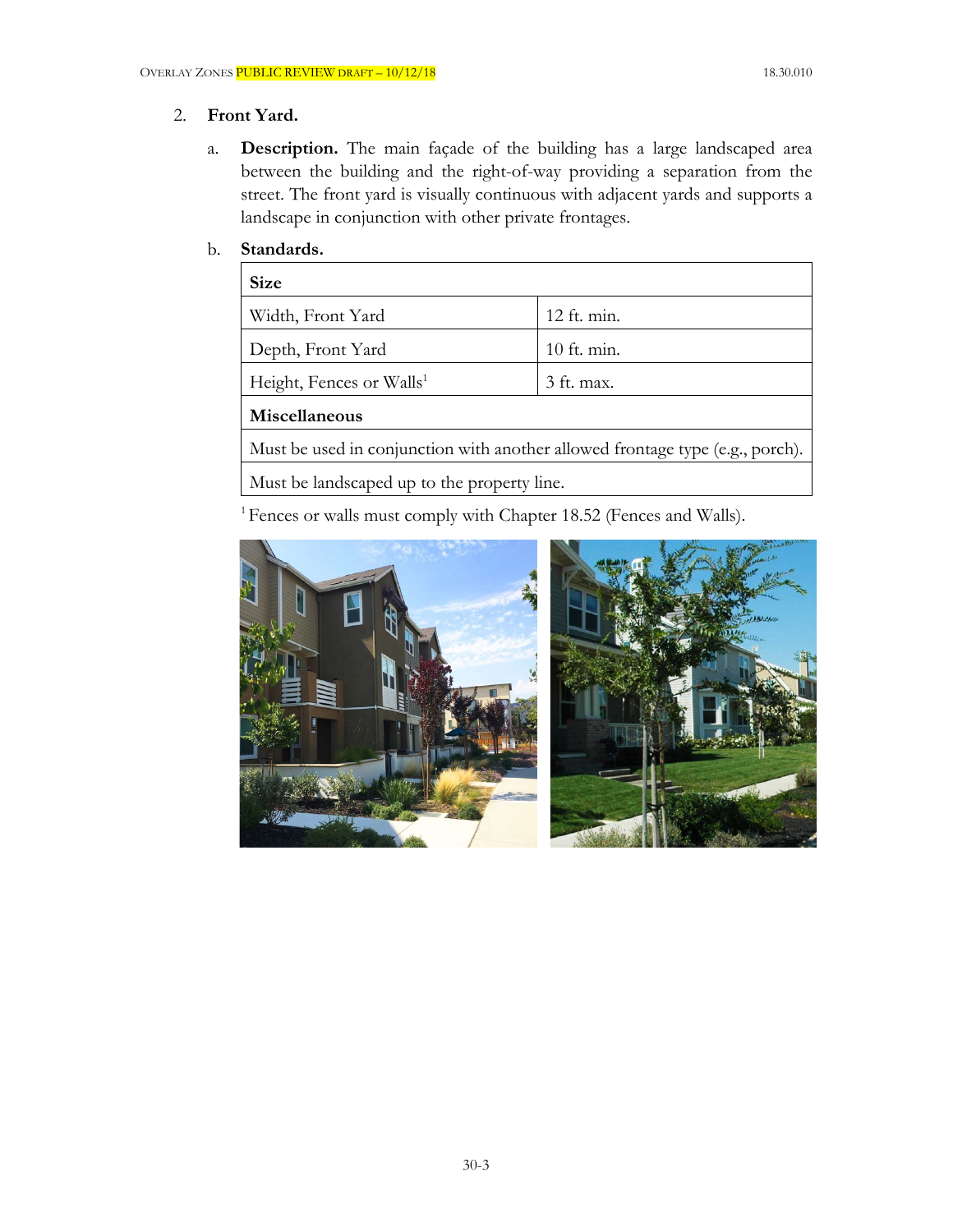# 2. **Front Yard.**

a. **Description.** The main façade of the building has a large landscaped area between the building and the right-of-way providing a separation from the street. The front yard is visually continuous with adjacent yards and supports a landscape in conjunction with other private frontages.

### b. **Standards.**

| <b>Size</b>                                                                   |               |  |
|-------------------------------------------------------------------------------|---------------|--|
| Width, Front Yard                                                             | 12 ft. min.   |  |
| Depth, Front Yard                                                             | $10$ ft. min. |  |
| Height, Fences or Walls <sup>1</sup>                                          | 3 ft. max.    |  |
| Miscellaneous                                                                 |               |  |
| Must be used in conjunction with another allowed frontage type (e.g., porch). |               |  |
| Must be landscaped up to the property line.                                   |               |  |
|                                                                               |               |  |

<sup>1</sup> Fences or walls must comply with Chapter 18.52 (Fences and Walls).

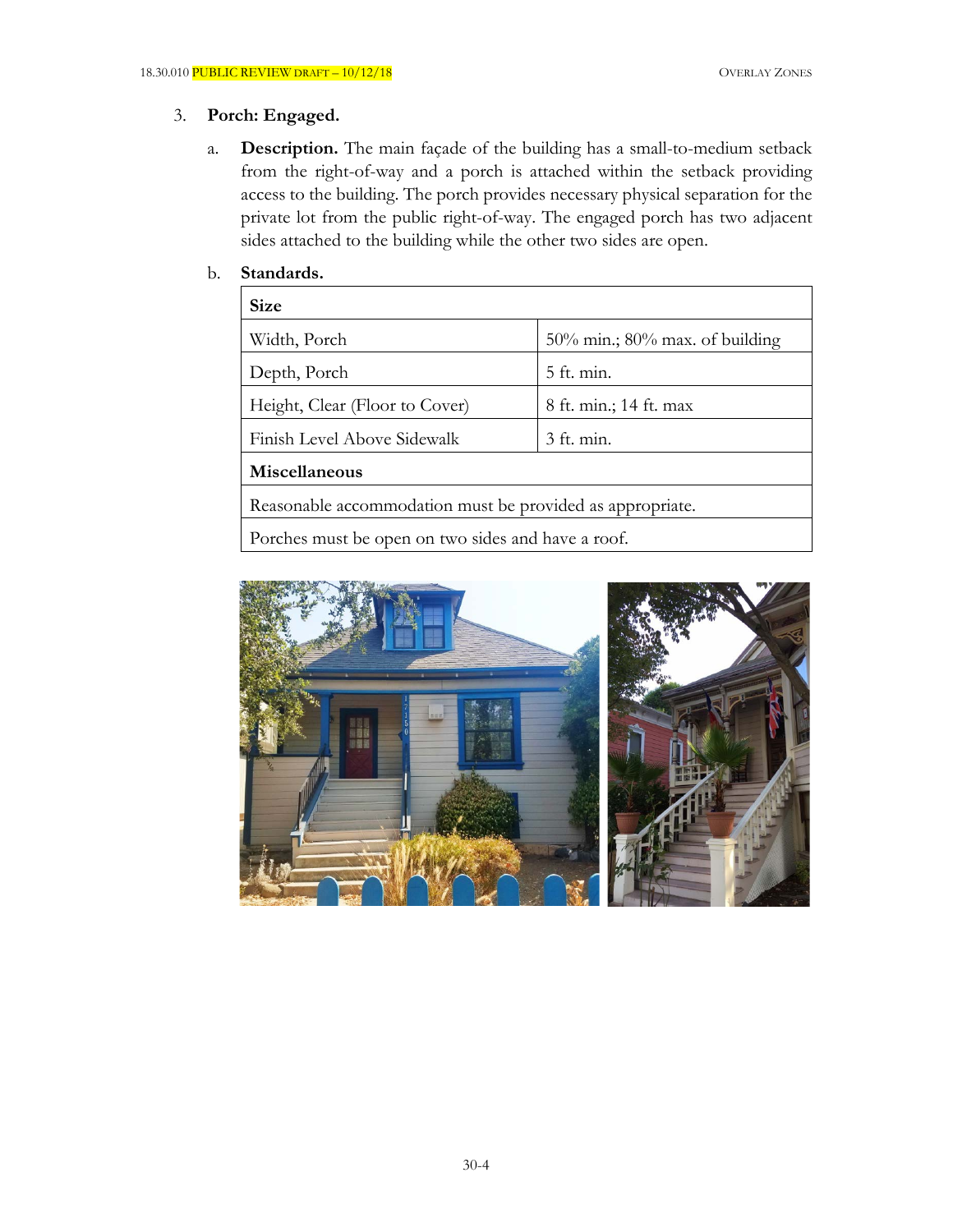# 3. **Porch: Engaged.**

a. **Description.** The main façade of the building has a small-to-medium setback from the right-of-way and a porch is attached within the setback providing access to the building. The porch provides necessary physical separation for the private lot from the public right-of-way. The engaged porch has two adjacent sides attached to the building while the other two sides are open.

### b. **Standards.**

| <b>Size</b>                                               |                                      |  |
|-----------------------------------------------------------|--------------------------------------|--|
| Width, Porch                                              | $50\%$ min.; $80\%$ max. of building |  |
| Depth, Porch                                              | $5$ ft. min.                         |  |
| Height, Clear (Floor to Cover)                            | 8 ft. min.; 14 ft. max               |  |
| Finish Level Above Sidewalk                               | 3 ft. min.                           |  |
| Miscellaneous                                             |                                      |  |
| Reasonable accommodation must be provided as appropriate. |                                      |  |
| Porches must be open on two sides and have a roof.        |                                      |  |

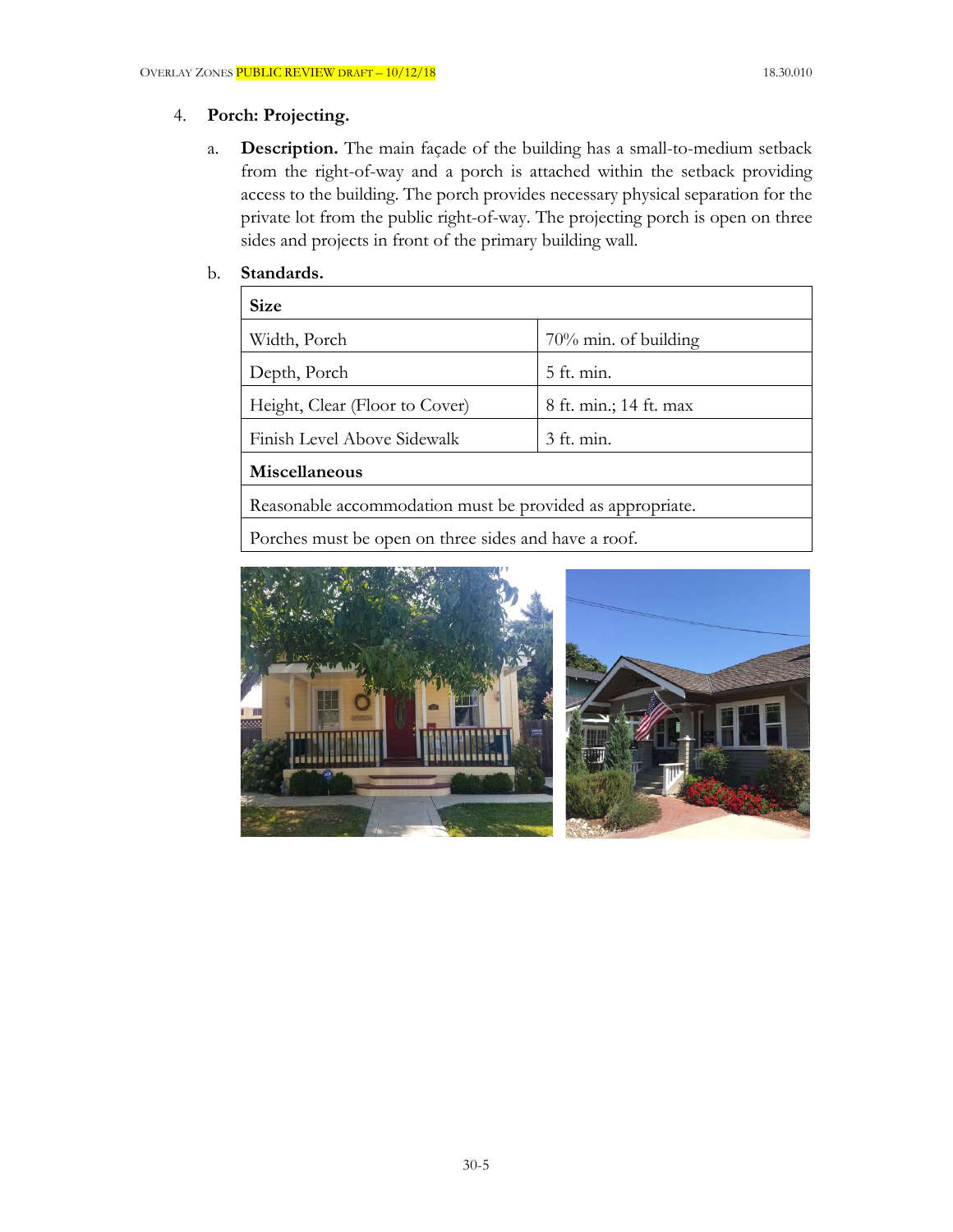### 4. **Porch: Projecting.**

a. **Description.** The main façade of the building has a small-to-medium setback from the right-of-way and a porch is attached within the setback providing access to the building. The porch provides necessary physical separation for the private lot from the public right-of-way. The projecting porch is open on three sides and projects in front of the primary building wall.

### b. **Standards.**

| <b>Size</b>                    |                         |
|--------------------------------|-------------------------|
| Width, Porch                   | $70\%$ min. of building |
| Depth, Porch                   | 5 ft. min.              |
| Height, Clear (Floor to Cover) | 8 ft. min.; 14 ft. max  |
| Finish Level Above Sidewalk    | 3 ft. min.              |
| Miscellaneous                  |                         |
|                                |                         |

Reasonable accommodation must be provided as appropriate.

Porches must be open on three sides and have a roof.

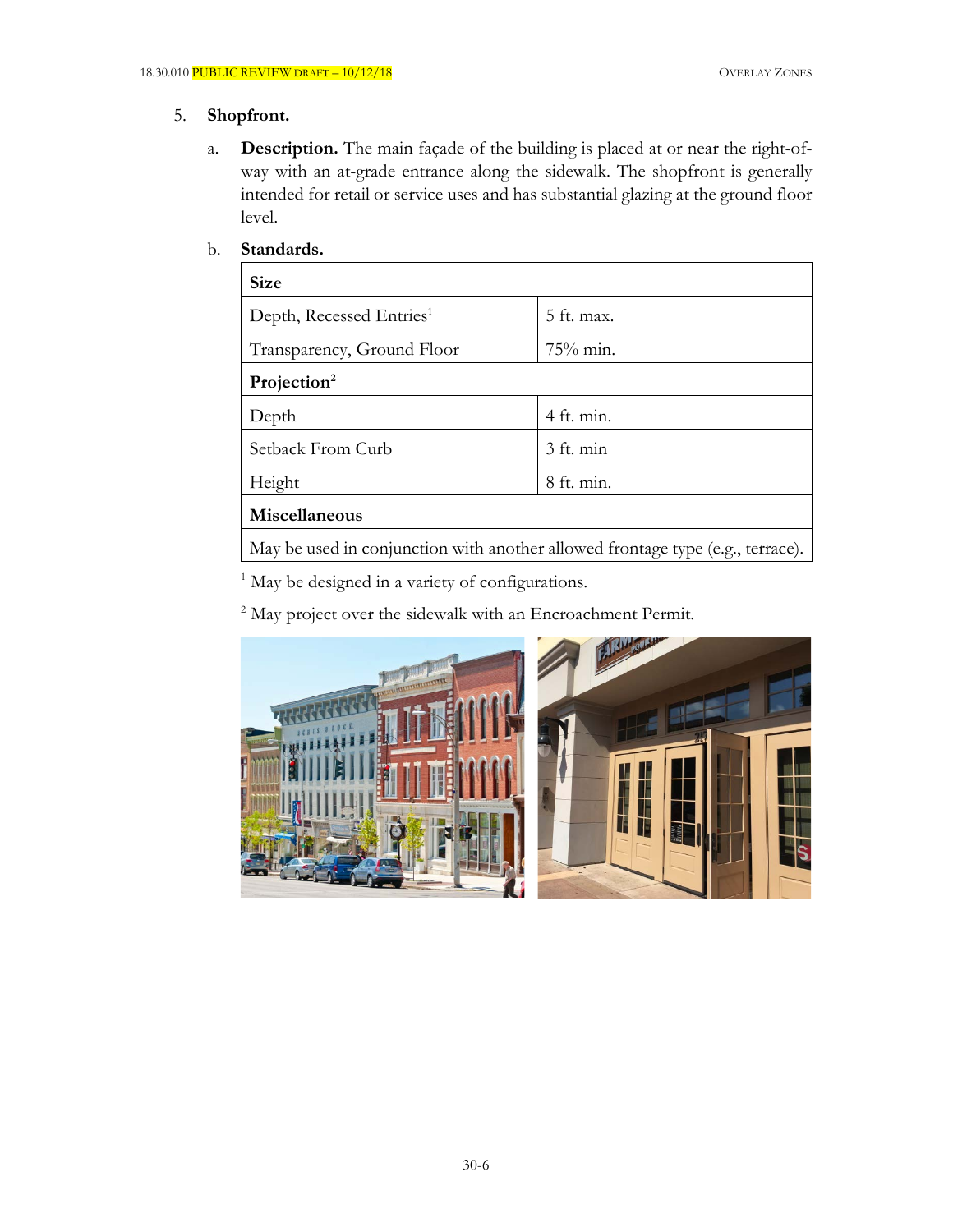#### 5. **Shopfront.**

a. **Description.** The main façade of the building is placed at or near the right-ofway with an at-grade entrance along the sidewalk. The shopfront is generally intended for retail or service uses and has substantial glazing at the ground floor level.

### b. **Standards.**

| <b>Size</b>                                                                    |              |
|--------------------------------------------------------------------------------|--------------|
| Depth, Recessed Entries <sup>1</sup>                                           | $5$ ft. max. |
| Transparency, Ground Floor                                                     | $75\%$ min.  |
| Projection <sup>2</sup>                                                        |              |
| Depth                                                                          | 4 ft. min.   |
| Setback From Curb                                                              | 3 ft. min    |
| Height                                                                         | $8$ ft. min. |
| Miscellaneous                                                                  |              |
| May be used in conjunction with another allowed frontage type (e.g., terrace). |              |

<sup>1</sup> May be designed in a variety of configurations.

<sup>2</sup> May project over the sidewalk with an Encroachment Permit.

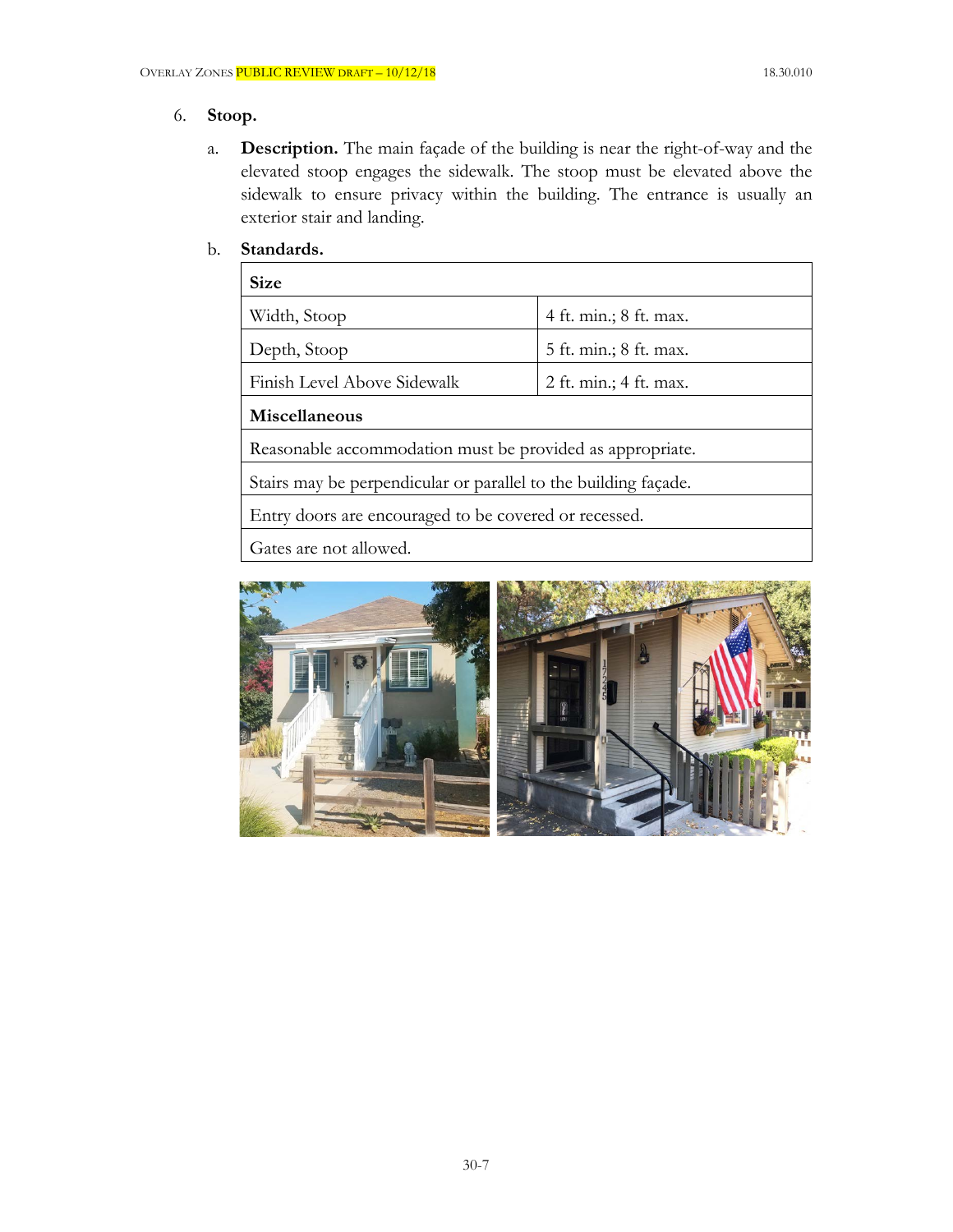# 6. **Stoop.**

a. **Description.** The main façade of the building is near the right-of-way and the elevated stoop engages the sidewalk. The stoop must be elevated above the sidewalk to ensure privacy within the building. The entrance is usually an exterior stair and landing.

# b. **Standards.**

| <b>Size</b>                                                     |                        |  |
|-----------------------------------------------------------------|------------------------|--|
| Width, Stoop                                                    | 4 ft. min.; 8 ft. max. |  |
| Depth, Stoop                                                    | 5 ft. min.; 8 ft. max. |  |
| Finish Level Above Sidewalk                                     | 2 ft. min.; 4 ft. max. |  |
| Miscellaneous                                                   |                        |  |
| Reasonable accommodation must be provided as appropriate.       |                        |  |
| Stairs may be perpendicular or parallel to the building façade. |                        |  |
| Entry doors are encouraged to be covered or recessed.           |                        |  |
| Gates are not allowed.                                          |                        |  |

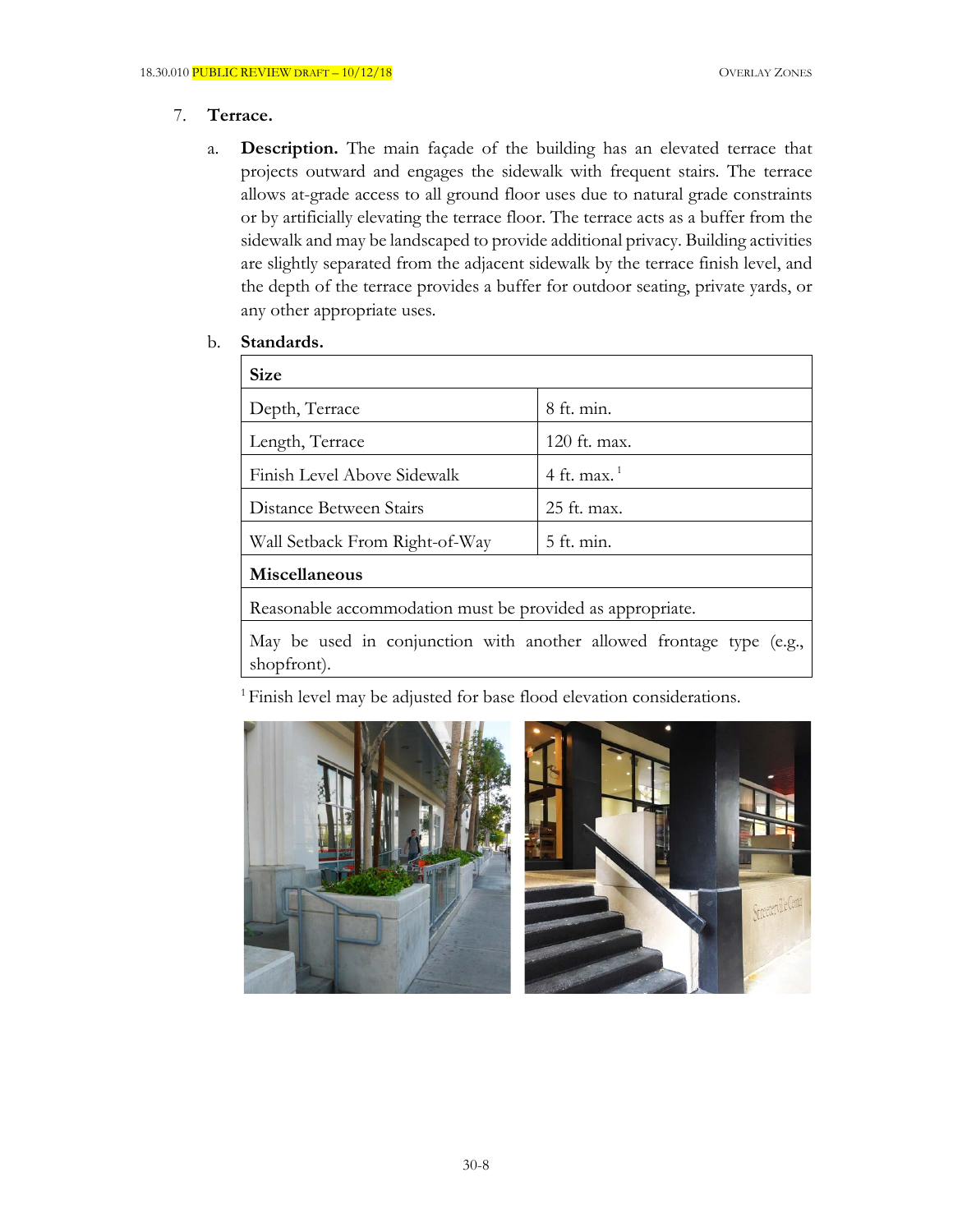# 7. **Terrace.**

a. **Description.** The main façade of the building has an elevated terrace that projects outward and engages the sidewalk with frequent stairs. The terrace allows at-grade access to all ground floor uses due to natural grade constraints or by artificially elevating the terrace floor. The terrace acts as a buffer from the sidewalk and may be landscaped to provide additional privacy. Building activities are slightly separated from the adjacent sidewalk by the terrace finish level, and the depth of the terrace provides a buffer for outdoor seating, private yards, or any other appropriate uses.

### b. **Standards.**

| <b>Size</b>                                                          |                |  |
|----------------------------------------------------------------------|----------------|--|
| Depth, Terrace                                                       | $8$ ft. min.   |  |
| Length, Terrace                                                      | 120 ft. max.   |  |
| Finish Level Above Sidewalk                                          | 4 ft. max. $1$ |  |
| Distance Between Stairs                                              | 25 ft. max.    |  |
| Wall Setback From Right-of-Way                                       | 5 ft. min.     |  |
| Miscellaneous                                                        |                |  |
| Reasonable accommodation must be provided as appropriate.            |                |  |
| May be used in conjunction with another allowed frontage type (e.g., |                |  |

shopfront).

<sup>1</sup> Finish level may be adjusted for base flood elevation considerations.